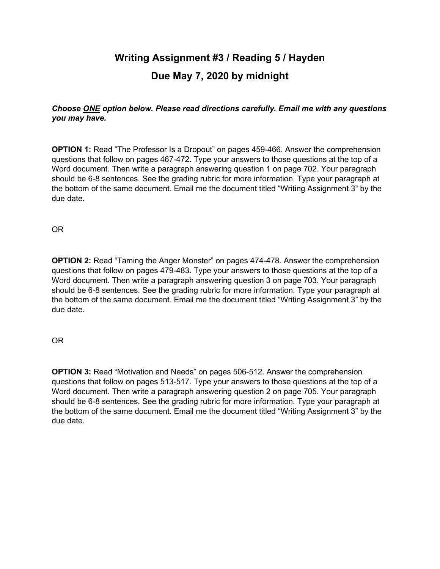## **Writing Assignment #3 / Reading 5 / Hayden Due May 7, 2020 by midnight**

## *Choose ONE option below. Please read directions carefully. Email me with any questions you may have.*

**OPTION 1:** Read "The Professor Is a Dropout" on pages 459-466. Answer the comprehension questions that follow on pages 467-472. Type your answers to those questions at the top of a Word document. Then write a paragraph answering question 1 on page 702. Your paragraph should be 6-8 sentences. See the grading rubric for more information. Type your paragraph at the bottom of the same document. Email me the document titled "Writing Assignment 3" by the due date.

OR

**OPTION 2:** Read "Taming the Anger Monster" on pages 474-478. Answer the comprehension questions that follow on pages 479-483. Type your answers to those questions at the top of a Word document. Then write a paragraph answering question 3 on page 703. Your paragraph should be 6-8 sentences. See the grading rubric for more information. Type your paragraph at the bottom of the same document. Email me the document titled "Writing Assignment 3" by the due date.

## OR

**OPTION 3:** Read "Motivation and Needs" on pages 506-512. Answer the comprehension questions that follow on pages 513-517. Type your answers to those questions at the top of a Word document. Then write a paragraph answering question 2 on page 705. Your paragraph should be 6-8 sentences. See the grading rubric for more information. Type your paragraph at the bottom of the same document. Email me the document titled "Writing Assignment 3" by the due date.